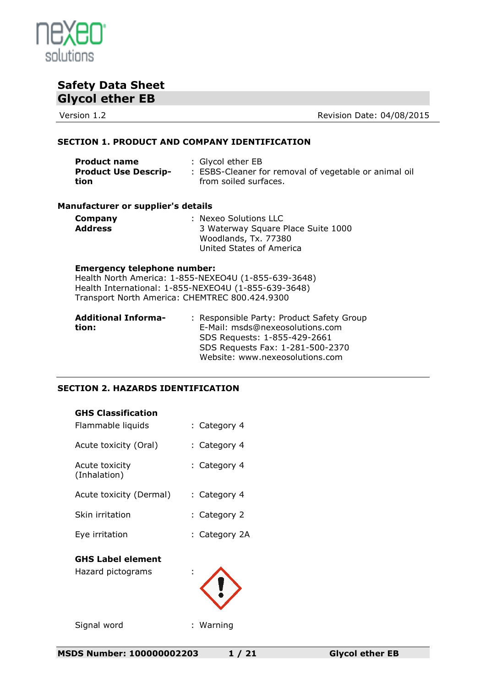

Version 1.2 **Version 1.2** Revision Date: 04/08/2015

## **SECTION 1. PRODUCT AND COMPANY IDENTIFICATION**

| <b>Product name</b>         | : Glycol ether EB                                     |
|-----------------------------|-------------------------------------------------------|
| <b>Product Use Descrip-</b> | : ESBS-Cleaner for removal of vegetable or animal oil |
| tion                        | from soiled surfaces.                                 |

## **Manufacturer or supplier's details**

| Company        | : Nexeo Solutions LLC              |
|----------------|------------------------------------|
| <b>Address</b> | 3 Waterway Square Place Suite 1000 |
|                | Woodlands, Tx. 77380               |
|                | United States of America           |

#### **Emergency telephone number:**

Health North America: 1-855-NEXEO4U (1-855-639-3648) Health International: 1-855-NEXEO4U (1-855-639-3648) Transport North America: CHEMTREC 800.424.9300

| <b>Additional Informa-</b> | : Responsible Party: Product Safety Group |
|----------------------------|-------------------------------------------|
| tion:                      | E-Mail: msds@nexeosolutions.com           |
|                            | SDS Requests: 1-855-429-2661              |
|                            | SDS Requests Fax: 1-281-500-2370          |
|                            | Website: www.nexeosolutions.com           |

## **SECTION 2. HAZARDS IDENTIFICATION**

| <b>GHS Classification</b>                     |               |
|-----------------------------------------------|---------------|
| Flammable liquids                             | : Category 4  |
| Acute toxicity (Oral)                         | : Category 4  |
| Acute toxicity<br>(Inhalation)                | : Category 4  |
| Acute toxicity (Dermal)                       | : Category 4  |
| Skin irritation                               | : Category 2  |
| Eye irritation                                | : Category 2A |
| <b>GHS Label element</b><br>Hazard pictograms |               |
| Signal word                                   | : Warning     |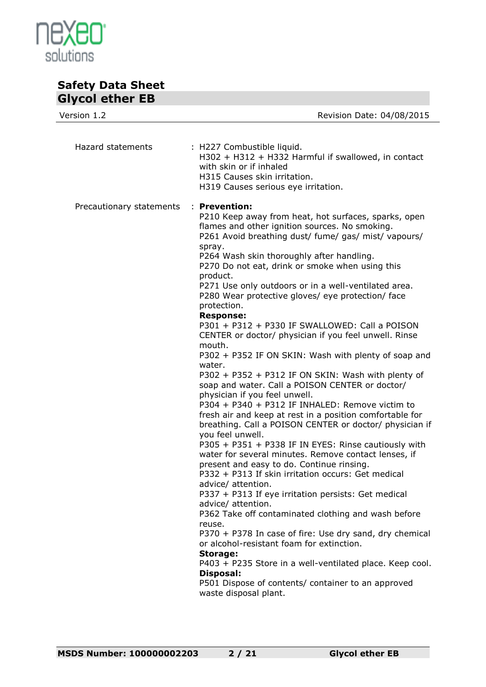

| Version 1.2              | Revision Date: 04/08/2015                                                                                                                                                                                                                                                                                                                                                                                                                                                                                                                                                                                                                                                                                                                                                                                                                                                                                                                                                                                                                                                                                                                                                                                                                                                                                                                                                                                                                                                                                                                                                                                                                                      |
|--------------------------|----------------------------------------------------------------------------------------------------------------------------------------------------------------------------------------------------------------------------------------------------------------------------------------------------------------------------------------------------------------------------------------------------------------------------------------------------------------------------------------------------------------------------------------------------------------------------------------------------------------------------------------------------------------------------------------------------------------------------------------------------------------------------------------------------------------------------------------------------------------------------------------------------------------------------------------------------------------------------------------------------------------------------------------------------------------------------------------------------------------------------------------------------------------------------------------------------------------------------------------------------------------------------------------------------------------------------------------------------------------------------------------------------------------------------------------------------------------------------------------------------------------------------------------------------------------------------------------------------------------------------------------------------------------|
| Hazard statements        | : H227 Combustible liquid.<br>H302 + H312 + H332 Harmful if swallowed, in contact<br>with skin or if inhaled<br>H315 Causes skin irritation.<br>H319 Causes serious eye irritation.                                                                                                                                                                                                                                                                                                                                                                                                                                                                                                                                                                                                                                                                                                                                                                                                                                                                                                                                                                                                                                                                                                                                                                                                                                                                                                                                                                                                                                                                            |
| Precautionary statements | : Prevention:<br>P210 Keep away from heat, hot surfaces, sparks, open<br>flames and other ignition sources. No smoking.<br>P261 Avoid breathing dust/ fume/ gas/ mist/ vapours/<br>spray.<br>P264 Wash skin thoroughly after handling.<br>P270 Do not eat, drink or smoke when using this<br>product.<br>P271 Use only outdoors or in a well-ventilated area.<br>P280 Wear protective gloves/ eye protection/ face<br>protection.<br><b>Response:</b><br>P301 + P312 + P330 IF SWALLOWED: Call a POISON<br>CENTER or doctor/ physician if you feel unwell. Rinse<br>mouth.<br>P302 + P352 IF ON SKIN: Wash with plenty of soap and<br>water.<br>P302 + P352 + P312 IF ON SKIN: Wash with plenty of<br>soap and water. Call a POISON CENTER or doctor/<br>physician if you feel unwell.<br>P304 + P340 + P312 IF INHALED: Remove victim to<br>fresh air and keep at rest in a position comfortable for<br>breathing. Call a POISON CENTER or doctor/ physician if<br>you feel unwell.<br>P305 + P351 + P338 IF IN EYES: Rinse cautiously with<br>water for several minutes. Remove contact lenses, if<br>present and easy to do. Continue rinsing.<br>P332 + P313 If skin irritation occurs: Get medical<br>advice/ attention.<br>P337 + P313 If eye irritation persists: Get medical<br>advice/ attention.<br>P362 Take off contaminated clothing and wash before<br>reuse.<br>P370 + P378 In case of fire: Use dry sand, dry chemical<br>or alcohol-resistant foam for extinction.<br>Storage:<br>P403 + P235 Store in a well-ventilated place. Keep cool.<br><b>Disposal:</b><br>P501 Dispose of contents/ container to an approved<br>waste disposal plant. |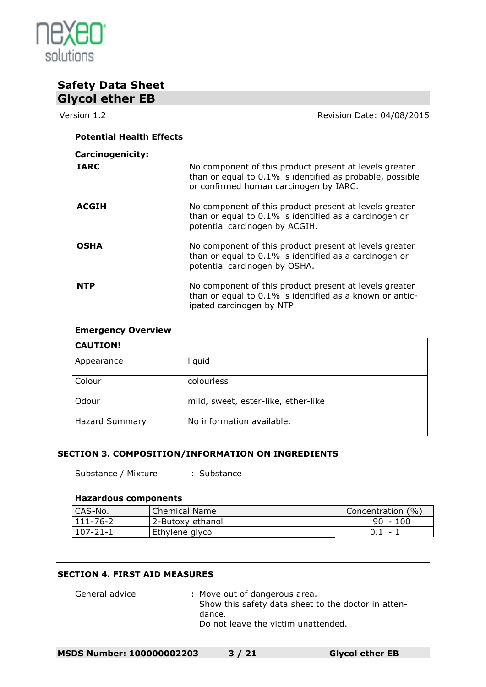

| UIYUU GUIGI LD                  |                                                                                                                                                               |
|---------------------------------|---------------------------------------------------------------------------------------------------------------------------------------------------------------|
| Version 1.2                     | Revision Date: 04/08/2015                                                                                                                                     |
| <b>Potential Health Effects</b> |                                                                                                                                                               |
| <b>Carcinogenicity:</b>         |                                                                                                                                                               |
| <b>IARC</b>                     | No component of this product present at levels greater<br>than or equal to 0.1% is identified as probable, possible<br>or confirmed human carcinogen by IARC. |
| <b>ACGIH</b>                    | No component of this product present at levels greater<br>than or equal to 0.1% is identified as a carcinogen or<br>potential carcinogen by ACGIH.            |
| <b>OSHA</b>                     | No component of this product present at levels greater<br>than or equal to 0.1% is identified as a carcinogen or<br>potential carcinogen by OSHA.             |
| <b>NTP</b>                      | No component of this product present at levels greater<br>than or equal to 0.1% is identified as a known or antic-<br>ipated carcinogen by NTP.               |

## **Emergency Overview**

| <b>CAUTION!</b>       |                                     |
|-----------------------|-------------------------------------|
| Appearance            | liquid                              |
| Colour                | colourless                          |
| Odour                 | mild, sweet, ester-like, ether-like |
| <b>Hazard Summary</b> | No information available.           |

## **SECTION 3. COMPOSITION/INFORMATION ON INGREDIENTS**

Substance / Mixture : Substance

## **Hazardous components**

| CAS-No.          | <b>Chemical Name</b> | Concentration (%) |
|------------------|----------------------|-------------------|
| $ 111 - 76 - 2 $ | 2-Butoxy ethanol     | $90 - 100$        |
| $107 - 21 - 1$   | Ethylene glycol      | $0.1 -$           |

## **SECTION 4. FIRST AID MEASURES**

| General advice | : Move out of dangerous area.                       |
|----------------|-----------------------------------------------------|
|                | Show this safety data sheet to the doctor in atten- |
|                | dance.                                              |
|                | Do not leave the victim unattended.                 |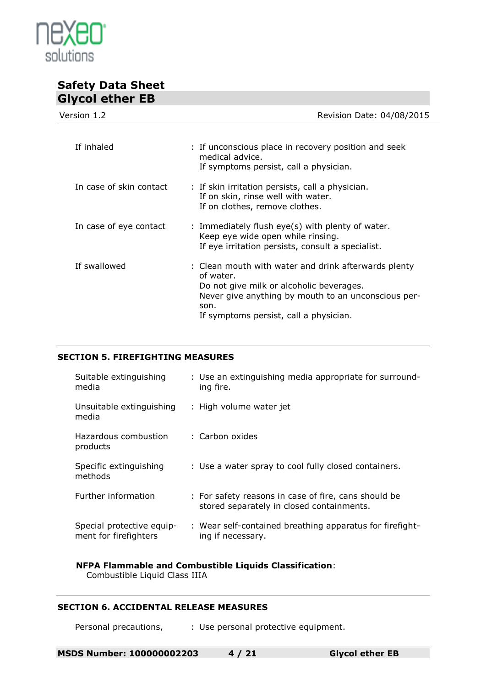

| Revision Date: 04/08/2015                                                                                                                                                                                              |
|------------------------------------------------------------------------------------------------------------------------------------------------------------------------------------------------------------------------|
|                                                                                                                                                                                                                        |
| : If unconscious place in recovery position and seek<br>medical advice.<br>If symptoms persist, call a physician.                                                                                                      |
| : If skin irritation persists, call a physician.<br>If on skin, rinse well with water.<br>If on clothes, remove clothes.                                                                                               |
| : Immediately flush eye(s) with plenty of water.<br>Keep eye wide open while rinsing.<br>If eye irritation persists, consult a specialist.                                                                             |
| : Clean mouth with water and drink afterwards plenty<br>of water.<br>Do not give milk or alcoholic beverages.<br>Never give anything by mouth to an unconscious per-<br>son.<br>If symptoms persist, call a physician. |
|                                                                                                                                                                                                                        |

## **SECTION 5. FIREFIGHTING MEASURES**

| Suitable extinguishing<br>media                    | : Use an extinguishing media appropriate for surround-<br>ing fire.                               |
|----------------------------------------------------|---------------------------------------------------------------------------------------------------|
| Unsuitable extinguishing<br>media                  | : High volume water jet                                                                           |
| Hazardous combustion<br>products                   | : Carbon oxides                                                                                   |
| Specific extinguishing<br>methods                  | : Use a water spray to cool fully closed containers.                                              |
| Further information                                | : For safety reasons in case of fire, cans should be<br>stored separately in closed containments. |
| Special protective equip-<br>ment for firefighters | : Wear self-contained breathing apparatus for firefight-<br>ing if necessary.                     |

#### **NFPA Flammable and Combustible Liquids Classification**: Combustible Liquid Class IIIA

## **SECTION 6. ACCIDENTAL RELEASE MEASURES**

Personal precautions, : Use personal protective equipment.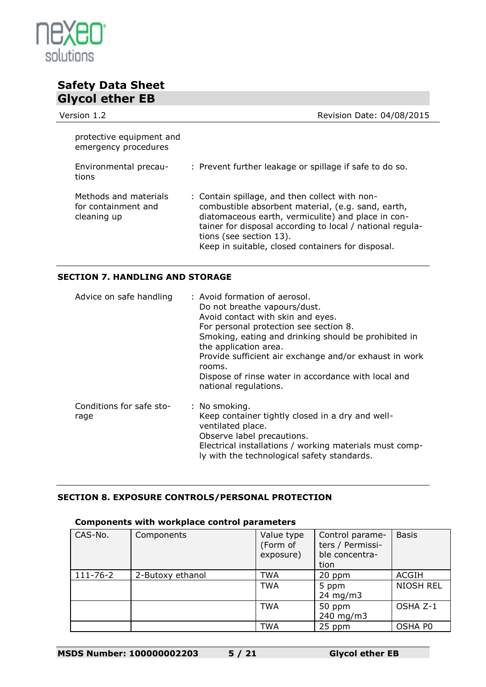

| UIYUU GUIGI LD                                              |                                                                                                                                                                                                                                                                                                         |
|-------------------------------------------------------------|---------------------------------------------------------------------------------------------------------------------------------------------------------------------------------------------------------------------------------------------------------------------------------------------------------|
| Version 1.2                                                 | Revision Date: 04/08/2015                                                                                                                                                                                                                                                                               |
| protective equipment and<br>emergency procedures            |                                                                                                                                                                                                                                                                                                         |
| Environmental precau-<br>tions                              | : Prevent further leakage or spillage if safe to do so.                                                                                                                                                                                                                                                 |
| Methods and materials<br>for containment and<br>cleaning up | : Contain spillage, and then collect with non-<br>combustible absorbent material, (e.g. sand, earth,<br>diatomaceous earth, vermiculite) and place in con-<br>tainer for disposal according to local / national regula-<br>tions (see section 13).<br>Keep in suitable, closed containers for disposal. |

## **SECTION 7. HANDLING AND STORAGE**

| Advice on safe handling          | : Avoid formation of aerosol.<br>Do not breathe vapours/dust.<br>Avoid contact with skin and eyes.<br>For personal protection see section 8.<br>Smoking, eating and drinking should be prohibited in<br>the application area.<br>Provide sufficient air exchange and/or exhaust in work<br>rooms.<br>Dispose of rinse water in accordance with local and<br>national regulations. |
|----------------------------------|-----------------------------------------------------------------------------------------------------------------------------------------------------------------------------------------------------------------------------------------------------------------------------------------------------------------------------------------------------------------------------------|
| Conditions for safe sto-<br>rage | : No smoking.<br>Keep container tightly closed in a dry and well-<br>ventilated place.<br>Observe label precautions.<br>Electrical installations / working materials must comp-<br>ly with the technological safety standards.                                                                                                                                                    |

## **SECTION 8. EXPOSURE CONTROLS/PERSONAL PROTECTION**

## **Components with workplace control parameters**

| CAS-No.        | Components       | Value type<br>(Form of<br>exposure) | Control parame-<br>ters / Permissi-<br>ble concentra-<br>tion | <b>Basis</b>     |
|----------------|------------------|-------------------------------------|---------------------------------------------------------------|------------------|
| $111 - 76 - 2$ | 2-Butoxy ethanol | TWA                                 | 20 ppm                                                        | <b>ACGIH</b>     |
|                |                  | <b>TWA</b>                          | 5 ppm<br>24 mg/m $3$                                          | <b>NIOSH REL</b> |
|                |                  | <b>TWA</b>                          | 50 ppm<br>240 mg/m3                                           | OSHA Z-1         |
|                |                  | <b>TWA</b>                          | 25 ppm                                                        | OSHA P0          |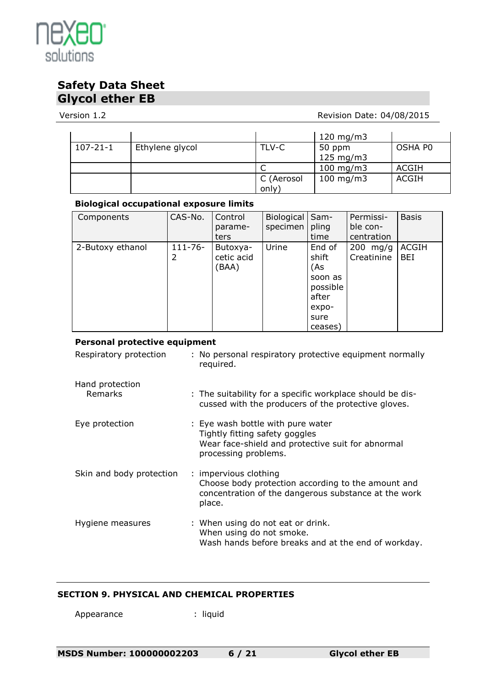

## Version 1.2 **Version 1.2** Revision Date: 04/08/2015

|                |                 |                    | 120 mg/m $3$       |         |
|----------------|-----------------|--------------------|--------------------|---------|
| $107 - 21 - 1$ | Ethylene glycol | TLV-C              | 50 ppm             | OSHA P0 |
|                |                 |                    | $125 \text{ mg/m}$ |         |
|                |                 |                    | $100$ mg/m3        | ACGIH   |
|                |                 | C (Aerosol<br>only | $100$ mg/m3        | ACGIH   |

## **Biological occupational exposure limits**

| Components       | CAS-No.      | Control<br>parame- | Biological<br>specimen | Sam-<br>pling | Permissi-<br>ble con- | <b>Basis</b> |
|------------------|--------------|--------------------|------------------------|---------------|-----------------------|--------------|
|                  |              | ters               |                        | time          | centration            |              |
| 2-Butoxy ethanol | $111 - 76 -$ | Butoxya-           | Urine                  | End of        | $200$ mg/g            | <b>ACGIH</b> |
|                  | 2            | cetic acid         |                        | shift         | Creatinine            | BEI          |
|                  |              | (BAA)              |                        | (As           |                       |              |
|                  |              |                    |                        | soon as       |                       |              |
|                  |              |                    |                        | possible      |                       |              |
|                  |              |                    |                        | after         |                       |              |
|                  |              |                    |                        | expo-         |                       |              |
|                  |              |                    |                        | sure          |                       |              |
|                  |              |                    |                        | ceases)       |                       |              |

## **Personal protective equipment**

| Respiratory protection   | : No personal respiratory protective equipment normally<br>required.                                                                             |
|--------------------------|--------------------------------------------------------------------------------------------------------------------------------------------------|
| Hand protection          |                                                                                                                                                  |
| Remarks                  | : The suitability for a specific workplace should be dis-<br>cussed with the producers of the protective gloves.                                 |
| Eye protection           | : Eye wash bottle with pure water<br>Tightly fitting safety goggles<br>Wear face-shield and protective suit for abnormal<br>processing problems. |
| Skin and body protection | : impervious clothing<br>Choose body protection according to the amount and<br>concentration of the dangerous substance at the work<br>place.    |
| Hygiene measures         | : When using do not eat or drink.<br>When using do not smoke.<br>Wash hands before breaks and at the end of workday.                             |

## **SECTION 9. PHYSICAL AND CHEMICAL PROPERTIES**

Appearance : liquid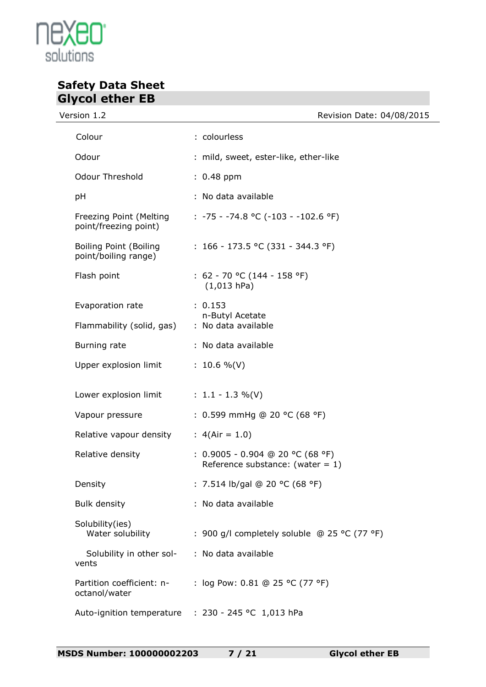

Version 1.2 **Version 1.2** Revision Date: 04/08/2015

| Colour                                           | : colourless                                                              |
|--------------------------------------------------|---------------------------------------------------------------------------|
| Odour                                            | : mild, sweet, ester-like, ether-like                                     |
| <b>Odour Threshold</b>                           | $: 0.48$ ppm                                                              |
| рH                                               | : No data available                                                       |
| Freezing Point (Melting<br>point/freezing point) | $: -75 - -74.8$ °C (-103 - -102.6 °F)                                     |
| Boiling Point (Boiling<br>point/boiling range)   | : $166 - 173.5$ °C (331 - 344.3 °F)                                       |
| Flash point                                      | : $62 - 70$ °C (144 - 158 °F)<br>$(1,013$ hPa)                            |
| Evaporation rate                                 | : 0.153<br>n-Butyl Acetate                                                |
| Flammability (solid, gas)                        | : No data available                                                       |
| Burning rate                                     | : No data available                                                       |
| Upper explosion limit                            | $: 10.6 %$ (V)                                                            |
| Lower explosion limit : $1.1 - 1.3 \%$ (V)       |                                                                           |
| Vapour pressure                                  | : 0.599 mmHg @ 20 °C (68 °F)                                              |
| Relative vapour density                          | : $4(Air = 1.0)$                                                          |
| Relative density                                 | : $0.9005 - 0.904$ @ 20 °C (68 °F)<br>Reference substance: (water = $1$ ) |
| Density                                          | : 7.514 lb/gal @ 20 °C (68 °F)                                            |
| <b>Bulk density</b>                              | : No data available                                                       |
| Solubility(ies)<br>Water solubility              | : 900 g/l completely soluble @ 25 °C (77 °F)                              |
| Solubility in other sol-<br>vents                | : No data available                                                       |
| Partition coefficient: n-<br>octanol/water       | : log Pow: 0.81 @ 25 °C (77 °F)                                           |
| Auto-ignition temperature                        | : 230 - 245 °C 1,013 hPa                                                  |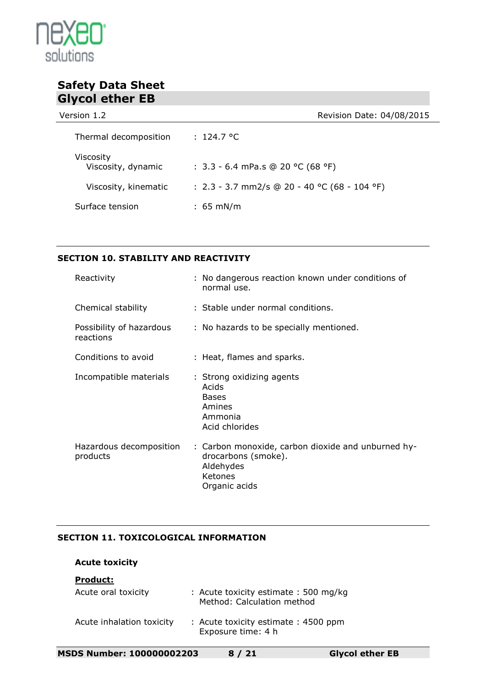

Version 1.2 **Version 1.2** Revision Date: 04/08/2015

| Thermal decomposition                  | : 124.7 °C                                   |
|----------------------------------------|----------------------------------------------|
| <b>Viscosity</b><br>Viscosity, dynamic | : $3.3 - 6.4$ mPa.s @ 20 °C (68 °F)          |
| Viscosity, kinematic                   | : 2.3 - 3.7 mm2/s @ 20 - 40 °C (68 - 104 °F) |
| Surface tension                        | $: 65 \text{ mN/m}$                          |

## **SECTION 10. STABILITY AND REACTIVITY**

| Reactivity                            | : No dangerous reaction known under conditions of<br>normal use.                                                   |
|---------------------------------------|--------------------------------------------------------------------------------------------------------------------|
| Chemical stability                    | : Stable under normal conditions.                                                                                  |
| Possibility of hazardous<br>reactions | : No hazards to be specially mentioned.                                                                            |
| Conditions to avoid                   | : Heat, flames and sparks.                                                                                         |
| Incompatible materials                | : Strong oxidizing agents<br>Acids<br><b>Bases</b><br>Amines<br>Ammonia<br>Acid chlorides                          |
| Hazardous decomposition<br>products   | : Carbon monoxide, carbon dioxide and unburned hy-<br>drocarbons (smoke).<br>Aldehydes<br>Ketones<br>Organic acids |

## **SECTION 11. TOXICOLOGICAL INFORMATION**

## **Acute toxicity**

## **Product:**

| Acute oral toxicity       | : Acute toxicity estimate : 500 mg/kg<br>Method: Calculation method |
|---------------------------|---------------------------------------------------------------------|
| Acute inhalation toxicity | : Acute toxicity estimate: 4500 ppm<br>Exposure time: 4 h           |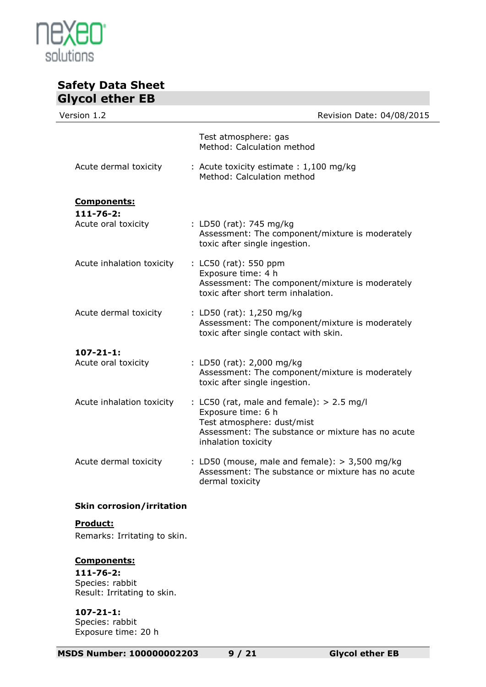

| Giycoi ether EB                  |                                                                                                                                                                             |
|----------------------------------|-----------------------------------------------------------------------------------------------------------------------------------------------------------------------------|
| Version 1.2                      | Revision Date: 04/08/2015                                                                                                                                                   |
|                                  | Test atmosphere: gas<br>Method: Calculation method                                                                                                                          |
| Acute dermal toxicity            | : Acute toxicity estimate : 1,100 mg/kg<br>Method: Calculation method                                                                                                       |
| <b>Components:</b>               |                                                                                                                                                                             |
| $111 - 76 - 2:$                  |                                                                                                                                                                             |
| Acute oral toxicity              | : LD50 (rat): 745 mg/kg<br>Assessment: The component/mixture is moderately<br>toxic after single ingestion.                                                                 |
| Acute inhalation toxicity        | : LC50 (rat): 550 ppm<br>Exposure time: 4 h<br>Assessment: The component/mixture is moderately<br>toxic after short term inhalation.                                        |
| Acute dermal toxicity            | : LD50 (rat): 1,250 mg/kg<br>Assessment: The component/mixture is moderately<br>toxic after single contact with skin.                                                       |
| $107 - 21 - 1$ :                 |                                                                                                                                                                             |
| Acute oral toxicity              | : LD50 (rat): 2,000 mg/kg<br>Assessment: The component/mixture is moderately<br>toxic after single ingestion.                                                               |
| Acute inhalation toxicity        | : LC50 (rat, male and female): $> 2.5$ mg/l<br>Exposure time: 6 h<br>Test atmosphere: dust/mist<br>Assessment: The substance or mixture has no acute<br>inhalation toxicity |
| Acute dermal toxicity            | : LD50 (mouse, male and female): $>$ 3,500 mg/kg<br>Assessment: The substance or mixture has no acute<br>dermal toxicity                                                    |
| <b>Skin corrosion/irritation</b> |                                                                                                                                                                             |
| Product:                         |                                                                                                                                                                             |
| Remarks: Irritating to skin.     |                                                                                                                                                                             |

## **Components:**

**111-76-2:** Species: rabbit Result: Irritating to skin.

**107-21-1:** Species: rabbit Exposure time: 20 h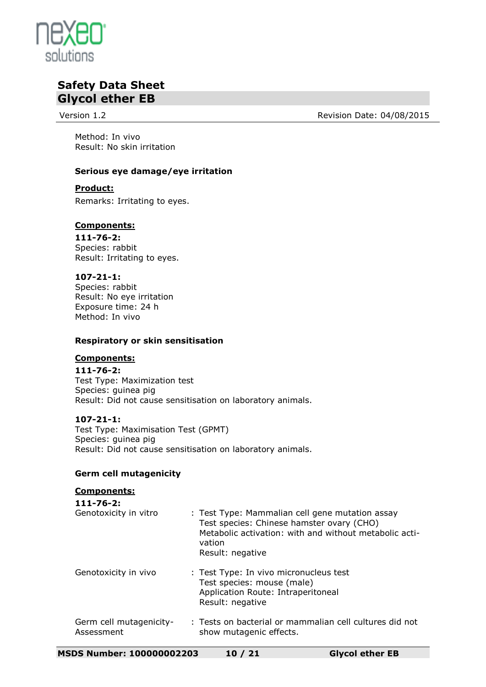

Version 1.2 **Alternative Contract Contract Contract Contract Contract Contract Contract Contract Contract Contract Contract Contract Contract Contract Contract Contract Contract Contract Contract Contract Contract Contract** 

Method: In vivo Result: No skin irritation

## **Serious eye damage/eye irritation**

## **Product:**

Remarks: Irritating to eyes.

## **Components:**

**111-76-2:** Species: rabbit Result: Irritating to eyes.

## **107-21-1:**

Species: rabbit Result: No eye irritation Exposure time: 24 h Method: In vivo

## **Respiratory or skin sensitisation**

#### **Components:**

**111-76-2:** Test Type: Maximization test Species: guinea pig Result: Did not cause sensitisation on laboratory animals.

#### **107-21-1:**

Test Type: Maximisation Test (GPMT) Species: guinea pig Result: Did not cause sensitisation on laboratory animals.

## **Germ cell mutagenicity**

#### **Components: 111-76-2:** Genotoxicity in vitro : Test Type: Mammalian cell gene mutation assay Test species: Chinese hamster ovary (CHO) Metabolic activation: with and without metabolic activation Result: negative Genotoxicity in vivo : Test Type: In vivo micronucleus test Test species: mouse (male) Application Route: Intraperitoneal Result: negative Germ cell mutagenicity-Assessment : Tests on bacterial or mammalian cell cultures did not show mutagenic effects.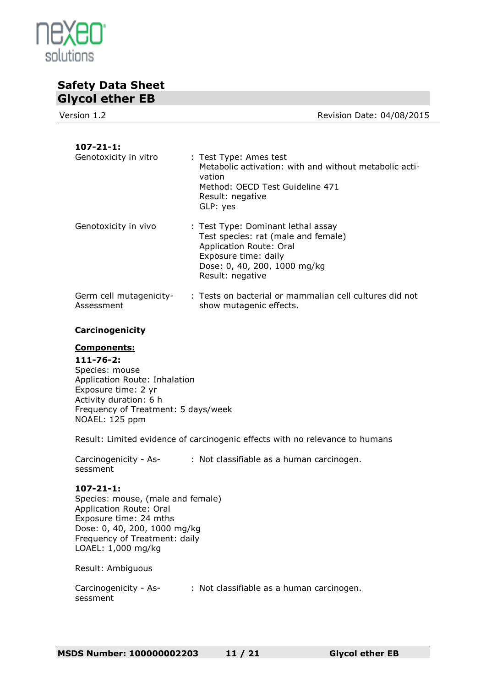

Version 1.2 **Alternative Contract Contract Contract Contract Contract Contract Contract Contract Contract Contract Contract Contract Contract Contract Contract Contract Contract Contract Contract Contract Contract Contract 107-21-1:** : Test Type: Ames test Metabolic activation: with and without metabolic activation Method: OECD Test Guideline 471 Result: negative GLP: yes Genotoxicity in vivo : Test Type: Dominant lethal assay Test species: rat (male and female) Application Route: Oral Exposure time: daily Dose: 0, 40, 200, 1000 mg/kg

Germ cell mutagenicity-Assessment : Tests on bacterial or mammalian cell cultures did not show mutagenic effects.

Result: negative

## **Carcinogenicity**

## **Components:**

#### **111-76-2:** Species: mouse Application Route: Inhalation Exposure time: 2 yr Activity duration: 6 h Frequency of Treatment: 5 days/week NOAEL: 125 ppm

Result: Limited evidence of carcinogenic effects with no relevance to humans

Carcinogenicity - As-: Not classifiable as a human carcinogen. sessment

**107-21-1:** Species: mouse, (male and female) Application Route: Oral Exposure time: 24 mths Dose: 0, 40, 200, 1000 mg/kg Frequency of Treatment: daily LOAEL: 1,000 mg/kg

Result: Ambiguous

Carcinogenicity - As-: Not classifiable as a human carcinogen.sessment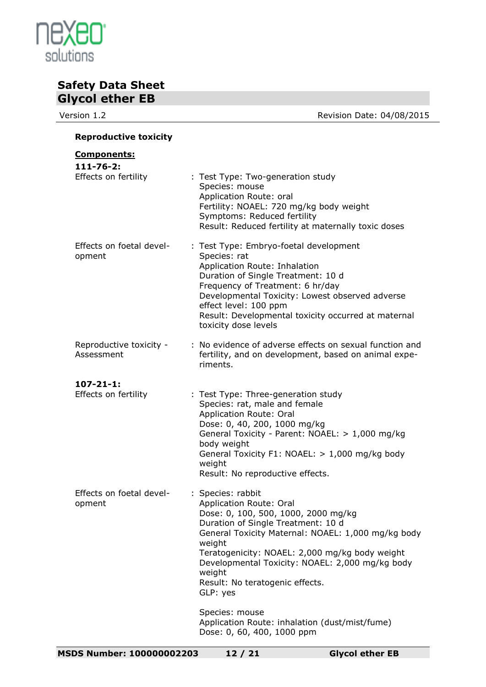

Version 1.2 **Version 1.2** Revision Date: 04/08/2015

## **Reproductive toxicity**

| <u>Components:</u>                       |                                                                                                                                                                                                                                                                                                                                                         |
|------------------------------------------|---------------------------------------------------------------------------------------------------------------------------------------------------------------------------------------------------------------------------------------------------------------------------------------------------------------------------------------------------------|
| $111 - 76 - 2:$<br>Effects on fertility  | : Test Type: Two-generation study<br>Species: mouse<br>Application Route: oral<br>Fertility: NOAEL: 720 mg/kg body weight<br>Symptoms: Reduced fertility<br>Result: Reduced fertility at maternally toxic doses                                                                                                                                         |
| Effects on foetal devel-<br>opment       | : Test Type: Embryo-foetal development<br>Species: rat<br>Application Route: Inhalation<br>Duration of Single Treatment: 10 d<br>Frequency of Treatment: 6 hr/day<br>Developmental Toxicity: Lowest observed adverse<br>effect level: 100 ppm<br>Result: Developmental toxicity occurred at maternal<br>toxicity dose levels                            |
| Reproductive toxicity -<br>Assessment    | : No evidence of adverse effects on sexual function and<br>fertility, and on development, based on animal expe-<br>riments.                                                                                                                                                                                                                             |
| $107 - 21 - 1$ :<br>Effects on fertility | : Test Type: Three-generation study<br>Species: rat, male and female<br>Application Route: Oral<br>Dose: 0, 40, 200, 1000 mg/kg<br>General Toxicity - Parent: NOAEL: > 1,000 mg/kg<br>body weight<br>General Toxicity F1: NOAEL: > 1,000 mg/kg body<br>weight<br>Result: No reproductive effects.                                                       |
| Effects on foetal devel-<br>opment       | : Species: rabbit<br>Application Route: Oral<br>Dose: 0, 100, 500, 1000, 2000 mg/kg<br>Duration of Single Treatment: 10 d<br>General Toxicity Maternal: NOAEL: 1,000 mg/kg body<br>weight<br>Teratogenicity: NOAEL: 2,000 mg/kg body weight<br>Developmental Toxicity: NOAEL: 2,000 mg/kg body<br>weight<br>Result: No teratogenic effects.<br>GLP: yes |
|                                          | Species: mouse<br>Application Route: inhalation (dust/mist/fume)<br>Dose: 0, 60, 400, 1000 ppm                                                                                                                                                                                                                                                          |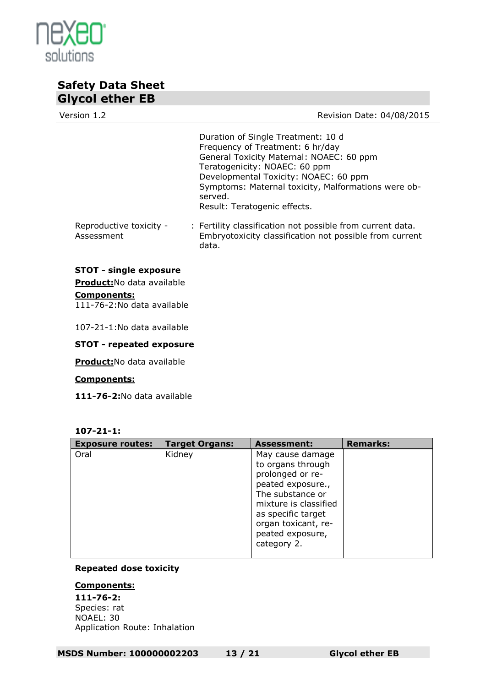

Version 1.2 **Alternative Contract Contract Contract Contract Contract Contract Contract Contract Contract Contract Contract Contract Contract Contract Contract Contract Contract Contract Contract Contract Contract Contract** Duration of Single Treatment: 10 d Frequency of Treatment: 6 hr/day General Toxicity Maternal: NOAEC: 60 ppm Teratogenicity: NOAEC: 60 ppm Developmental Toxicity: NOAEC: 60 ppm Symptoms: Maternal toxicity, Malformations were observed. Result: Teratogenic effects. Reproductive toxicity - Assessment : Fertility classification not possible from current data. Embryotoxicity classification not possible from current data. **STOT - single exposure Product:**No data available **Components:**

111-76-2:No data available

107-21-1:No data available

#### **STOT - repeated exposure**

**Product:**No data available

#### **Components:**

**111-76-2:**No data available

**107-21-1:**

| <b>Exposure routes:</b> | <b>Target Organs:</b> | <b>Assessment:</b>                                                                                                                                                                                          | <b>Remarks:</b> |
|-------------------------|-----------------------|-------------------------------------------------------------------------------------------------------------------------------------------------------------------------------------------------------------|-----------------|
| Oral                    | Kidney                | May cause damage<br>to organs through<br>prolonged or re-<br>peated exposure.,<br>The substance or<br>mixture is classified<br>as specific target<br>organ toxicant, re-<br>peated exposure,<br>category 2. |                 |

#### **Repeated dose toxicity**

## **Components:**

**111-76-2:** Species: rat NOAEL: 30 Application Route: Inhalation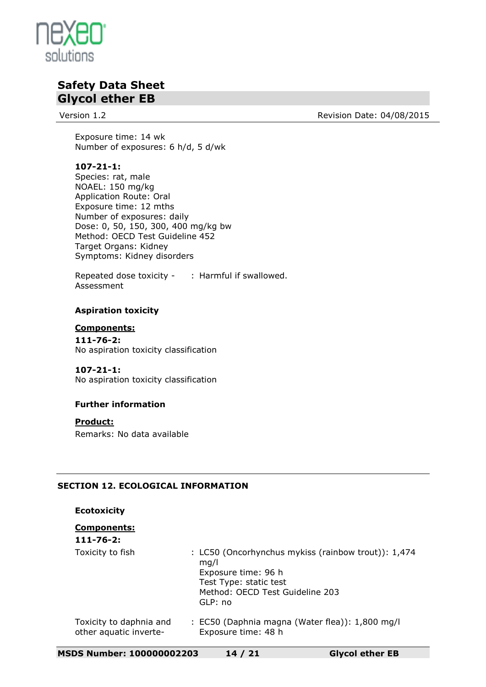

Version 1.2 **Alternative Contract Contract Contract Contract Contract Contract Contract Contract Contract Contract Contract Contract Contract Contract Contract Contract Contract Contract Contract Contract Contract Contract** 

Exposure time: 14 wk Number of exposures: 6 h/d, 5 d/wk

## **107-21-1:**

Species: rat, male NOAEL: 150 mg/kg Application Route: Oral Exposure time: 12 mths Number of exposures: daily Dose: 0, 50, 150, 300, 400 mg/kg bw Method: OECD Test Guideline 452 Target Organs: Kidney Symptoms: Kidney disorders

Repeated dose toxicity - : Harmful if swallowed. Assessment

## **Aspiration toxicity**

**Components: 111-76-2:** No aspiration toxicity classification

## **107-21-1:**

No aspiration toxicity classification

## **Further information**

**Product:**

Remarks: No data available

## **SECTION 12. ECOLOGICAL INFORMATION**

## **Ecotoxicity**

## **Components:**

| l-76-<br>٠ |  |
|------------|--|
|------------|--|

| Toxicity to fish        | : LC50 (Oncorhynchus mykiss (rainbow trout)): 1,474<br>ma/l<br>Exposure time: 96 h<br>Test Type: static test<br>Method: OECD Test Guideline 203<br>GLP: no |
|-------------------------|------------------------------------------------------------------------------------------------------------------------------------------------------------|
| Toxicity to daphnia and | : EC50 (Daphnia magna (Water flea)): 1,800 mg/l                                                                                                            |

other aquatic inverte- Exposure time: 48 h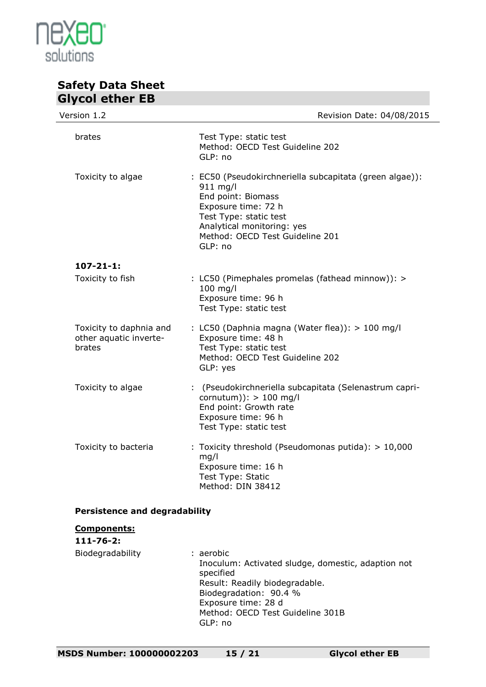

| Version 1.2                                                 | Revision Date: 04/08/2015                                                                                                                                                                                                |
|-------------------------------------------------------------|--------------------------------------------------------------------------------------------------------------------------------------------------------------------------------------------------------------------------|
| brates                                                      | Test Type: static test<br>Method: OECD Test Guideline 202<br>GLP: no                                                                                                                                                     |
| Toxicity to algae                                           | : EC50 (Pseudokirchneriella subcapitata (green algae)):<br>$911$ mg/l<br>End point: Biomass<br>Exposure time: 72 h<br>Test Type: static test<br>Analytical monitoring: yes<br>Method: OECD Test Guideline 201<br>GLP: no |
| $107 - 21 - 1$ :                                            |                                                                                                                                                                                                                          |
| Toxicity to fish                                            | : LC50 (Pimephales promelas (fathead minnow)): ><br>100 mg/l<br>Exposure time: 96 h<br>Test Type: static test                                                                                                            |
| Toxicity to daphnia and<br>other aquatic inverte-<br>brates | : LC50 (Daphnia magna (Water flea)): > 100 mg/l<br>Exposure time: 48 h<br>Test Type: static test<br>Method: OECD Test Guideline 202<br>GLP: yes                                                                          |
| Toxicity to algae                                           | : (Pseudokirchneriella subcapitata (Selenastrum capri-<br>cornutum)): $> 100$ mg/l<br>End point: Growth rate<br>Exposure time: 96 h<br>Test Type: static test                                                            |
| Toxicity to bacteria                                        | : Toxicity threshold (Pseudomonas putida): $> 10,000$<br>mg/l<br>Exposure time: 16 h<br>Test Type: Static<br>Method: DIN 38412                                                                                           |

## **Persistence and degradability**

# **Components: 111-76-2:**

| Biodegradability | : aerobic<br>Inoculum: Activated sludge, domestic, adaption not<br>specified<br>Result: Readily biodegradable.<br>Biodegradation: 90.4 %<br>Exposure time: 28 d<br>Method: OECD Test Guideline 301B |
|------------------|-----------------------------------------------------------------------------------------------------------------------------------------------------------------------------------------------------|
|                  | GLP: no                                                                                                                                                                                             |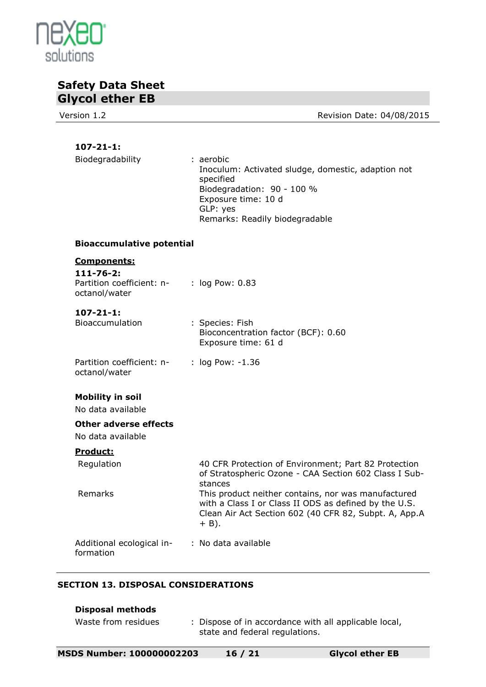

Version 1.2 **Version 1.2** Revision Date: 04/08/2015

## **107-21-1:**

| Biodegradability                                                                    | : aerobic<br>Inoculum: Activated sludge, domestic, adaption not<br>specified<br>Biodegradation: 90 - 100 %<br>Exposure time: 10 d<br>GLP: yes<br>Remarks: Readily biodegradable  |
|-------------------------------------------------------------------------------------|----------------------------------------------------------------------------------------------------------------------------------------------------------------------------------|
| <b>Bioaccumulative potential</b>                                                    |                                                                                                                                                                                  |
| <b>Components:</b><br>$111 - 76 - 2:$<br>Partition coefficient: n-<br>octanol/water | $:$ log Pow: $0.83$                                                                                                                                                              |
| $107 - 21 - 1$ :<br>Bioaccumulation                                                 | : Species: Fish<br>Bioconcentration factor (BCF): 0.60<br>Exposure time: 61 d                                                                                                    |
| Partition coefficient: n-<br>octanol/water                                          | : log Pow: -1.36                                                                                                                                                                 |
| <b>Mobility in soil</b><br>No data available                                        |                                                                                                                                                                                  |
| <b>Other adverse effects</b><br>No data available                                   |                                                                                                                                                                                  |
| Product:                                                                            |                                                                                                                                                                                  |
| Regulation                                                                          | 40 CFR Protection of Environment; Part 82 Protection<br>of Stratospheric Ozone - CAA Section 602 Class I Sub-<br>stances                                                         |
| Remarks                                                                             | This product neither contains, nor was manufactured<br>with a Class I or Class II ODS as defined by the U.S.<br>Clean Air Act Section 602 (40 CFR 82, Subpt. A, App.A<br>$+$ B). |
| Additional ecological in-<br>formation                                              | : No data available                                                                                                                                                              |

## **SECTION 13. DISPOSAL CONSIDERATIONS**

| <b>Disposal methods</b> |                                                                                         |
|-------------------------|-----------------------------------------------------------------------------------------|
| Waste from residues     | : Dispose of in accordance with all applicable local,<br>state and federal regulations. |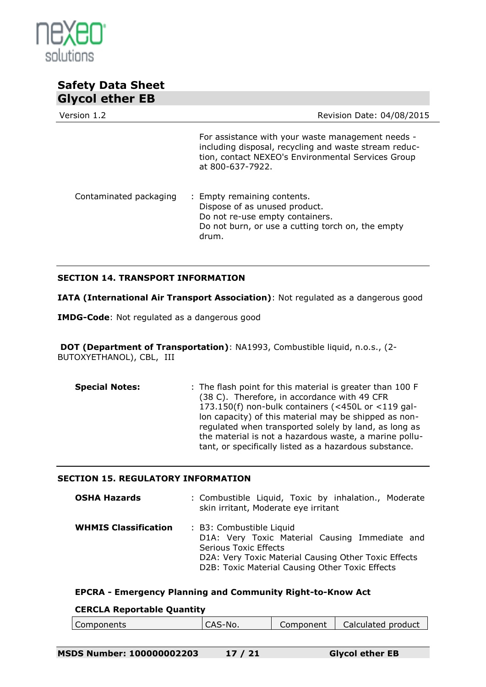

| Version 1.2            | Revision Date: 04/08/2015                                                                                                                                                            |
|------------------------|--------------------------------------------------------------------------------------------------------------------------------------------------------------------------------------|
|                        | For assistance with your waste management needs -<br>including disposal, recycling and waste stream reduc-<br>tion, contact NEXEO's Environmental Services Group<br>at 800-637-7922. |
| Contaminated packaging | : Empty remaining contents.<br>Dispose of as unused product.<br>Do not re-use empty containers.<br>Do not burn, or use a cutting torch on, the empty<br>drum.                        |

## **SECTION 14. TRANSPORT INFORMATION**

**IATA (International Air Transport Association)**: Not regulated as a dangerous good

**IMDG-Code**: Not regulated as a dangerous good

**DOT (Department of Transportation)**: NA1993, Combustible liquid, n.o.s., (2- BUTOXYETHANOL), CBL, III

**Special Notes:** : The flash point for this material is greater than 100 F (38 C). Therefore, in accordance with 49 CFR 173.150(f) non-bulk containers (<450L or <119 gallon capacity) of this material may be shipped as nonregulated when transported solely by land, as long as the material is not a hazardous waste, a marine pollutant, or specifically listed as a hazardous substance.

#### **SECTION 15. REGULATORY INFORMATION**

| <b>OSHA Hazards</b>         | : Combustible Liquid, Toxic by inhalation., Moderate<br>skin irritant, Moderate eye irritant                                                                                                                          |
|-----------------------------|-----------------------------------------------------------------------------------------------------------------------------------------------------------------------------------------------------------------------|
| <b>WHMIS Classification</b> | : B3: Combustible Liquid<br>D1A: Very Toxic Material Causing Immediate and<br><b>Serious Toxic Effects</b><br>D2A: Very Toxic Material Causing Other Toxic Effects<br>D2B: Toxic Material Causing Other Toxic Effects |

#### **EPCRA - Emergency Planning and Community Right-to-Know Act**

#### **CERCLA Reportable Quantity**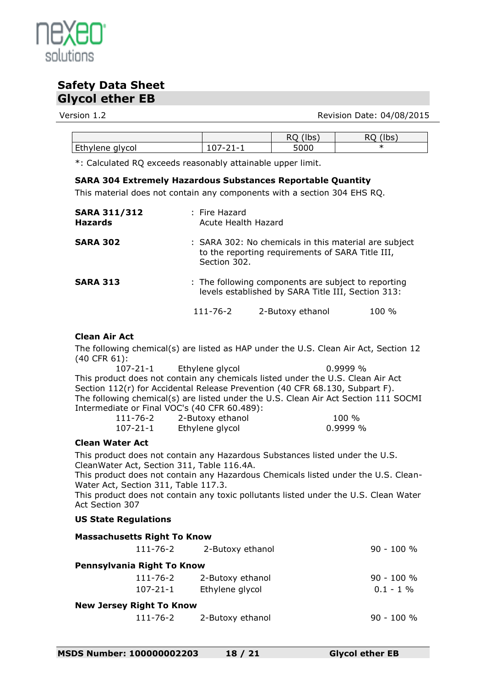

Version 1.2 **Version 1.2** Revision Date: 04/08/2015

|                 |     | 'lbs,<br>へし | 'Ibs.<br>$\sim$ |
|-----------------|-----|-------------|-----------------|
| Ethylene glycol | . . | 5000        | ж               |

\*: Calculated RQ exceeds reasonably attainable upper limit.

## **SARA 304 Extremely Hazardous Substances Reportable Quantity**

This material does not contain any components with a section 304 EHS RQ.

| <b>SARA 311/312</b><br><b>Hazards</b> | : Fire Hazard<br>Acute Health Hazard |                                                                                                                           |       |  |
|---------------------------------------|--------------------------------------|---------------------------------------------------------------------------------------------------------------------------|-------|--|
| <b>SARA 302</b>                       |                                      | : SARA 302: No chemicals in this material are subject<br>to the reporting requirements of SARA Title III,<br>Section 302. |       |  |
| <b>SARA 313</b>                       |                                      | : The following components are subject to reporting<br>levels established by SARA Title III, Section 313:                 |       |  |
|                                       | 111-76-2                             | 2-Butoxy ethanol                                                                                                          | 100 % |  |

## **Clean Air Act**

The following chemical(s) are listed as HAP under the U.S. Clean Air Act, Section 12 (40 CFR 61):

107-21-1 Ethylene glycol 0.9999 % This product does not contain any chemicals listed under the U.S. Clean Air Act Section 112(r) for Accidental Release Prevention (40 CFR 68.130, Subpart F). The following chemical(s) are listed under the U.S. Clean Air Act Section 111 SOCMI Intermediate or Final VOC's (40 CFR 60.489):

| 111-76-2 | 2-Butoxy ethanol | $100 \%$ |
|----------|------------------|----------|
| 107-21-1 | Ethylene glycol  | 0.9999 % |

## **Clean Water Act**

This product does not contain any Hazardous Substances listed under the U.S. CleanWater Act, Section 311, Table 116.4A.

This product does not contain any Hazardous Chemicals listed under the U.S. Clean-Water Act, Section 311, Table 117.3.

This product does not contain any toxic pollutants listed under the U.S. Clean Water Act Section 307

## **US State Regulations**

| <b>Massachusetts Right To Know</b> |                           |              |
|------------------------------------|---------------------------|--------------|
|                                    | 111-76-2 2-Butoxy ethanol | $90 - 100 %$ |
| Pennsylvania Right To Know         |                           |              |
| 111-76-2                           | 2-Butoxy ethanol          | $90 - 100 %$ |
| 107-21-1                           | Ethylene glycol           | $0.1 - 1\%$  |
| <b>New Jersey Right To Know</b>    |                           |              |
|                                    | 111-76-2 2-Butoxy ethanol | $90 - 100 %$ |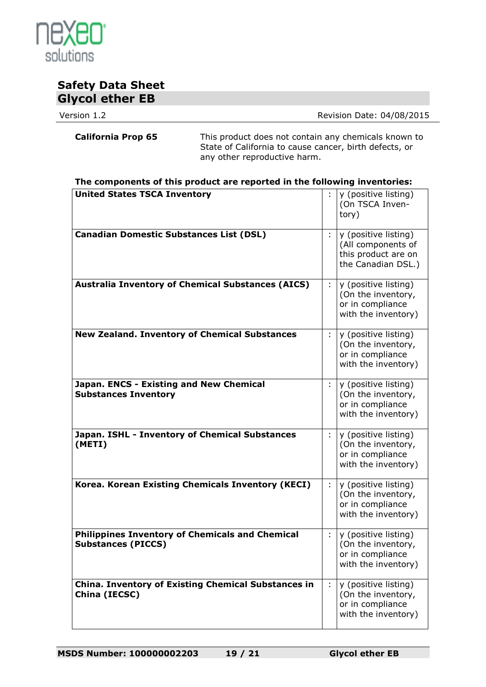

Version 1.2 **Version 1.2** Revision Date: 04/08/2015

**California Prop 65** This product does not contain any chemicals known to State of California to cause cancer, birth defects, or any other reproductive harm.

| The components of this product are reported in the following inventories: |
|---------------------------------------------------------------------------|
|---------------------------------------------------------------------------|

| <b>United States TSCA Inventory</b>                                                 |   | y (positive listing)<br>(On TSCA Inven-<br>tory)                                        |
|-------------------------------------------------------------------------------------|---|-----------------------------------------------------------------------------------------|
| <b>Canadian Domestic Substances List (DSL)</b>                                      | ÷ | y (positive listing)<br>(All components of<br>this product are on<br>the Canadian DSL.) |
| <b>Australia Inventory of Chemical Substances (AICS)</b>                            | ÷ | y (positive listing)<br>(On the inventory,<br>or in compliance<br>with the inventory)   |
| <b>New Zealand. Inventory of Chemical Substances</b>                                | ÷ | y (positive listing)<br>(On the inventory,<br>or in compliance<br>with the inventory)   |
| Japan. ENCS - Existing and New Chemical<br><b>Substances Inventory</b>              |   | y (positive listing)<br>(On the inventory,<br>or in compliance<br>with the inventory)   |
| Japan. ISHL - Inventory of Chemical Substances<br>(METI)                            | ÷ | y (positive listing)<br>(On the inventory,<br>or in compliance<br>with the inventory)   |
| Korea. Korean Existing Chemicals Inventory (KECI)                                   | ÷ | y (positive listing)<br>(On the inventory,<br>or in compliance<br>with the inventory)   |
| <b>Philippines Inventory of Chemicals and Chemical</b><br><b>Substances (PICCS)</b> | ÷ | y (positive listing)<br>(On the inventory,<br>or in compliance<br>with the inventory)   |
| <b>China. Inventory of Existing Chemical Substances in</b><br>China (IECSC)         | ÷ | y (positive listing)<br>(On the inventory,<br>or in compliance<br>with the inventory)   |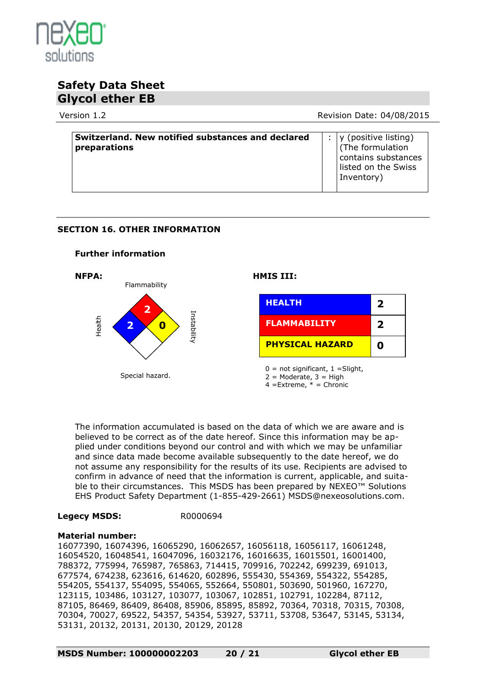

Version 1.2 **Review Accord Provident Contract Contract Provident** Revision Date: 04/08/2015

| Switzerland. New notified substances and declared<br>preparations |  | y (positive listing)<br><sup>1</sup> (The formulation<br>contains substances |
|-------------------------------------------------------------------|--|------------------------------------------------------------------------------|
|                                                                   |  | listed on the Swiss<br>Inventory)                                            |

## **SECTION 16. OTHER INFORMATION**

## **Further information**



The information accumulated is based on the data of which we are aware and is believed to be correct as of the date hereof. Since this information may be applied under conditions beyond our control and with which we may be unfamiliar and since data made become available subsequently to the date hereof, we do not assume any responsibility for the results of its use. Recipients are advised to confirm in advance of need that the information is current, applicable, and suitable to their circumstances. This MSDS has been prepared by NEXEO™ Solutions EHS Product Safety Department (1-855-429-2661) MSDS@nexeosolutions.com.

## **Legecy MSDS:** R0000694

## **Material number:**

16077390, 16074396, 16065290, 16062657, 16056118, 16056117, 16061248, 16054520, 16048541, 16047096, 16032176, 16016635, 16015501, 16001400, 788372, 775994, 765987, 765863, 714415, 709916, 702242, 699239, 691013, 677574, 674238, 623616, 614620, 602896, 555430, 554369, 554322, 554285, 554205, 554137, 554095, 554065, 552664, 550801, 503690, 501960, 167270, 123115, 103486, 103127, 103077, 103067, 102851, 102791, 102284, 87112, 87105, 86469, 86409, 86408, 85906, 85895, 85892, 70364, 70318, 70315, 70308, 70304, 70027, 69522, 54357, 54354, 53927, 53711, 53708, 53647, 53145, 53134, 53131, 20132, 20131, 20130, 20129, 20128